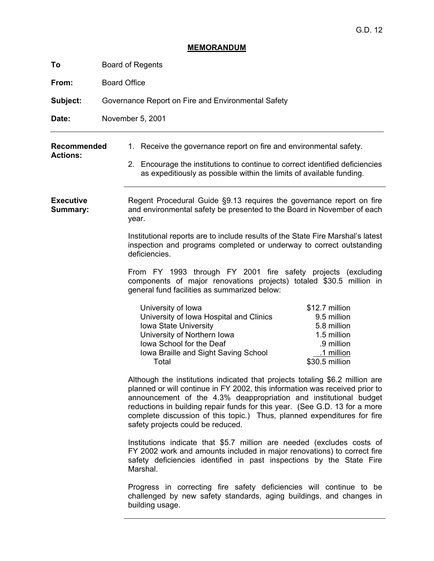# **MEMORANDUM**

| To                                    | <b>Board of Regents</b>                                                                                                                                                                                                                                                                                                                                                                                                        |
|---------------------------------------|--------------------------------------------------------------------------------------------------------------------------------------------------------------------------------------------------------------------------------------------------------------------------------------------------------------------------------------------------------------------------------------------------------------------------------|
| From:                                 | <b>Board Office</b>                                                                                                                                                                                                                                                                                                                                                                                                            |
| Subject:                              | Governance Report on Fire and Environmental Safety                                                                                                                                                                                                                                                                                                                                                                             |
| Date:                                 | November 5, 2001                                                                                                                                                                                                                                                                                                                                                                                                               |
| <b>Recommended</b><br><b>Actions:</b> | 1. Receive the governance report on fire and environmental safety.<br>2. Encourage the institutions to continue to correct identified deficiencies<br>as expeditiously as possible within the limits of available funding.                                                                                                                                                                                                     |
| <b>Executive</b><br>Summary:          | Regent Procedural Guide §9.13 requires the governance report on fire<br>and environmental safety be presented to the Board in November of each<br>year.                                                                                                                                                                                                                                                                        |
|                                       | Institutional reports are to include results of the State Fire Marshal's latest<br>inspection and programs completed or underway to correct outstanding<br>deficiencies.                                                                                                                                                                                                                                                       |
|                                       | From FY 1993 through FY 2001 fire safety projects (excluding<br>components of major renovations projects) totaled \$30.5 million in<br>general fund facilities as summarized below:                                                                                                                                                                                                                                            |
|                                       | University of Iowa<br>\$12.7 million<br>University of Iowa Hospital and Clinics<br>9.5 million<br>Iowa State University<br>5.8 million<br>University of Northern Iowa<br>1.5 million<br>lowa School for the Deaf<br>.9 million<br>Iowa Braille and Sight Saving School<br>1 million<br>\$30.5 million<br>Total                                                                                                                 |
|                                       | Although the institutions indicated that projects totaling \$6.2 million are<br>planned or will continue in FY 2002, this information was received prior to<br>announcement of the 4.3% deappropriation and institutional budget<br>reductions in building repair funds for this year. (See G.D. 13 for a more<br>complete discussion of this topic.) Thus, planned expenditures for fire<br>safety projects could be reduced. |
|                                       | Institutions indicate that \$5.7 million are needed (excludes costs of<br>FY 2002 work and amounts included in major renovations) to correct fire<br>safety deficiencies identified in past inspections by the State Fire<br>Marshal.                                                                                                                                                                                          |
|                                       | Progress in correcting fire safety deficiencies will continue to be<br>challenged by new safety standards, aging buildings, and changes in<br>building usage.                                                                                                                                                                                                                                                                  |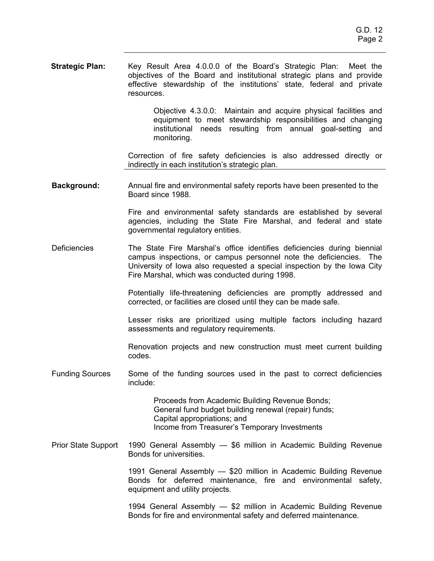**Strategic Plan:** Key Result Area 4.0.0.0 of the Board's Strategic Plan: Meet the objectives of the Board and institutional strategic plans and provide effective stewardship of the institutions' state, federal and private resources.

> Objective 4.3.0.0: Maintain and acquire physical facilities and equipment to meet stewardship responsibilities and changing institutional needs resulting from annual goal-setting and monitoring.

Correction of fire safety deficiencies is also addressed directly or indirectly in each institution's strategic plan.

**Background:** Annual fire and environmental safety reports have been presented to the Board since 1988.

> Fire and environmental safety standards are established by several agencies, including the State Fire Marshal, and federal and state governmental regulatory entities.

Deficiencies The State Fire Marshal's office identifies deficiencies during biennial campus inspections, or campus personnel note the deficiencies. The University of Iowa also requested a special inspection by the Iowa City Fire Marshal, which was conducted during 1998.

> Potentially life-threatening deficiencies are promptly addressed and corrected, or facilities are closed until they can be made safe.

> Lesser risks are prioritized using multiple factors including hazard assessments and regulatory requirements.

> Renovation projects and new construction must meet current building codes.

Funding Sources Some of the funding sources used in the past to correct deficiencies include:

> Proceeds from Academic Building Revenue Bonds; General fund budget building renewal (repair) funds; Capital appropriations; and Income from Treasurer's Temporary Investments

Prior State Support 1990 General Assembly — \$6 million in Academic Building Revenue Bonds for universities.

> 1991 General Assembly — \$20 million in Academic Building Revenue Bonds for deferred maintenance, fire and environmental safety, equipment and utility projects.

> 1994 General Assembly — \$2 million in Academic Building Revenue Bonds for fire and environmental safety and deferred maintenance.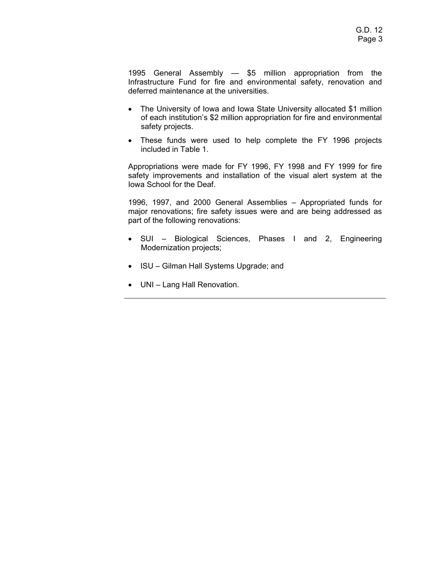1995 General Assembly — \$5 million appropriation from the Infrastructure Fund for fire and environmental safety, renovation and deferred maintenance at the universities.

- The University of Iowa and Iowa State University allocated \$1 million of each institution's \$2 million appropriation for fire and environmental safety projects.
- These funds were used to help complete the FY 1996 projects included in Table 1.

Appropriations were made for FY 1996, FY 1998 and FY 1999 for fire safety improvements and installation of the visual alert system at the Iowa School for the Deaf.

1996, 1997, and 2000 General Assemblies – Appropriated funds for major renovations; fire safety issues were and are being addressed as part of the following renovations:

- SUI Biological Sciences, Phases I and 2, Engineering Modernization projects;
- ISU Gilman Hall Systems Upgrade; and
- UNI Lang Hall Renovation.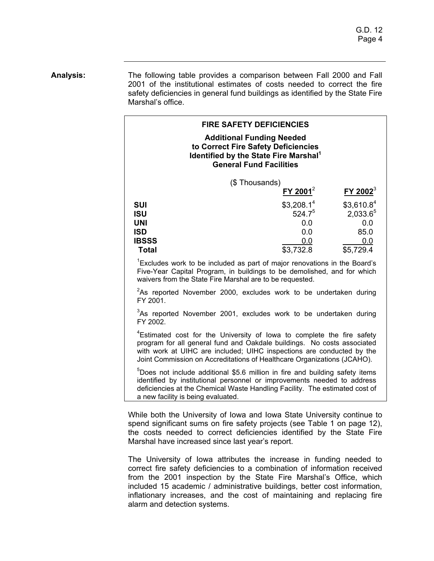**Analysis:** The following table provides a comparison between Fall 2000 and Fall 2001 of the institutional estimates of costs needed to correct the fire safety deficiencies in general fund buildings as identified by the State Fire Marshal's office.

| <b>FIRE SAFETY DEFICIENCIES</b><br><b>Additional Funding Needed</b><br>to Correct Fire Safety Deficiencies<br>Identified by the State Fire Marshal <sup>1</sup><br><b>General Fund Facilities</b> |                                                                         |                                                                            |
|---------------------------------------------------------------------------------------------------------------------------------------------------------------------------------------------------|-------------------------------------------------------------------------|----------------------------------------------------------------------------|
| (\$Thousands)                                                                                                                                                                                     | FY 2001 <sup>2</sup>                                                    | $FY$ 2002 <sup>3</sup>                                                     |
| <b>SUI</b><br><b>ISU</b><br><b>UNI</b><br><b>ISD</b><br><b>IBSSS</b><br><b>Total</b>                                                                                                              | \$3,208.1 <sup>4</sup><br>$524.7^{5}$<br>0.0<br>0.0<br>0.0<br>\$3,732.8 | \$3,610.8 <sup>4</sup><br>$2,033.6^{5}$<br>0.0<br>85.0<br>0.0<br>\$5,729.4 |

Five-Year Capital Program, in buildings to be demolished, and for which waivers from the State Fire Marshal are to be requested.

 $2$ As reported November 2000, excludes work to be undertaken during FY 2001.

 $3$ As reported November 2001, excludes work to be undertaken during FY 2002.

<sup>4</sup>Estimated cost for the University of Iowa to complete the fire safety program for all general fund and Oakdale buildings. No costs associated with work at UIHC are included; UIHC inspections are conducted by the Joint Commission on Accreditations of Healthcare Organizations (JCAHO).

<sup>5</sup>Does not include additional \$5.6 million in fire and building safety items identified by institutional personnel or improvements needed to address deficiencies at the Chemical Waste Handling Facility. The estimated cost of a new facility is being evaluated.

While both the University of Iowa and Iowa State University continue to spend significant sums on fire safety projects (see Table 1 on page 12), the costs needed to correct deficiencies identified by the State Fire Marshal have increased since last year's report.

The University of Iowa attributes the increase in funding needed to correct fire safety deficiencies to a combination of information received from the 2001 inspection by the State Fire Marshal's Office, which included 15 academic / administrative buildings, better cost information, inflationary increases, and the cost of maintaining and replacing fire alarm and detection systems.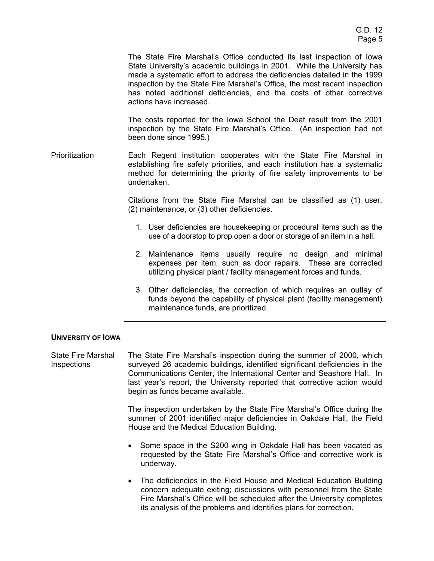The State Fire Marshal's Office conducted its last inspection of Iowa State University's academic buildings in 2001. While the University has made a systematic effort to address the deficiencies detailed in the 1999 inspection by the State Fire Marshal's Office, the most recent inspection has noted additional deficiencies, and the costs of other corrective actions have increased.

The costs reported for the Iowa School the Deaf result from the 2001 inspection by the State Fire Marshal's Office. (An inspection had not been done since 1995.)

Prioritization Each Regent institution cooperates with the State Fire Marshal in establishing fire safety priorities, and each institution has a systematic method for determining the priority of fire safety improvements to be undertaken.

> Citations from the State Fire Marshal can be classified as (1) user, (2) maintenance, or (3) other deficiencies.

- 1. User deficiencies are housekeeping or procedural items such as the use of a doorstop to prop open a door or storage of an item in a hall.
- 2. Maintenance items usually require no design and minimal expenses per item, such as door repairs. These are corrected utilizing physical plant / facility management forces and funds.
- 3. Other deficiencies, the correction of which requires an outlay of funds beyond the capability of physical plant (facility management) maintenance funds, are prioritized.

## **UNIVERSITY OF IOWA**

State Fire Marshal **Inspections** The State Fire Marshal's inspection during the summer of 2000, which surveyed 26 academic buildings, identified significant deficiencies in the Communications Center, the International Center and Seashore Hall. In last year's report, the University reported that corrective action would begin as funds became available.

> The inspection undertaken by the State Fire Marshal's Office during the summer of 2001 identified major deficiencies in Oakdale Hall, the Field House and the Medical Education Building.

- Some space in the S200 wing in Oakdale Hall has been vacated as requested by the State Fire Marshal's Office and corrective work is underway.
- The deficiencies in the Field House and Medical Education Building concern adequate exiting; discussions with personnel from the State Fire Marshal's Office will be scheduled after the University completes its analysis of the problems and identifies plans for correction.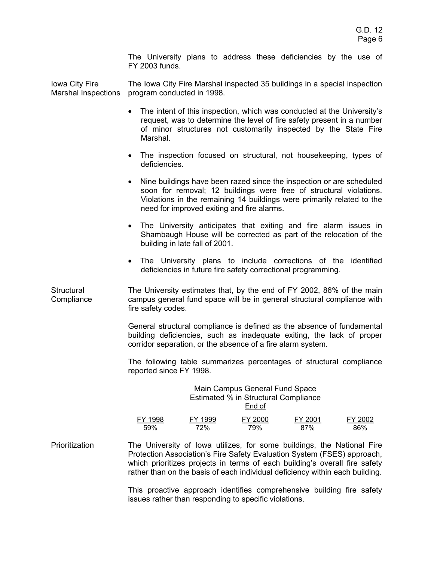The University plans to address these deficiencies by the use of FY 2003 funds.

Iowa City Fire Marshal Inspections program conducted in 1998. The Iowa City Fire Marshal inspected 35 buildings in a special inspection

- The intent of this inspection, which was conducted at the University's request, was to determine the level of fire safety present in a number of minor structures not customarily inspected by the State Fire Marshal.
- The inspection focused on structural, not housekeeping, types of deficiencies.
- Nine buildings have been razed since the inspection or are scheduled soon for removal; 12 buildings were free of structural violations. Violations in the remaining 14 buildings were primarily related to the need for improved exiting and fire alarms.
- The University anticipates that exiting and fire alarm issues in Shambaugh House will be corrected as part of the relocation of the building in late fall of 2001.
- The University plans to include corrections of the identified deficiencies in future fire safety correctional programming.

**Structural Compliance** The University estimates that, by the end of FY 2002, 86% of the main campus general fund space will be in general structural compliance with fire safety codes.

> General structural compliance is defined as the absence of fundamental building deficiencies, such as inadequate exiting, the lack of proper corridor separation, or the absence of a fire alarm system.

> The following table summarizes percentages of structural compliance reported since FY 1998.

# Main Campus General Fund Space Estimated % in Structural Compliance End of FY 1998 FY 1999 FY 2000 FY 2001 FY 2002 59% 72% 79% 87% 86%

Prioritization The University of Iowa utilizes, for some buildings, the National Fire Protection Association's Fire Safety Evaluation System (FSES) approach, which prioritizes projects in terms of each building's overall fire safety rather than on the basis of each individual deficiency within each building.

> This proactive approach identifies comprehensive building fire safety issues rather than responding to specific violations.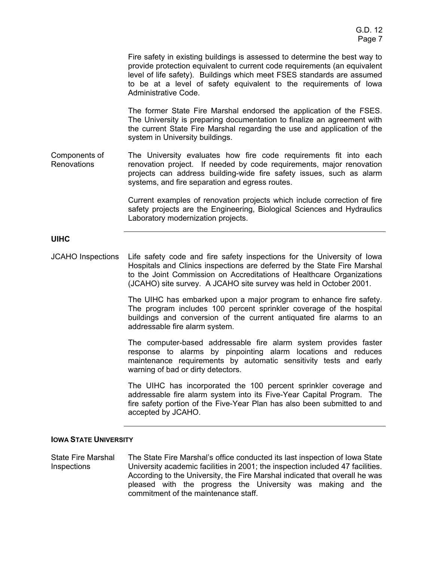Fire safety in existing buildings is assessed to determine the best way to provide protection equivalent to current code requirements (an equivalent level of life safety). Buildings which meet FSES standards are assumed to be at a level of safety equivalent to the requirements of Iowa Administrative Code.

The former State Fire Marshal endorsed the application of the FSES. The University is preparing documentation to finalize an agreement with the current State Fire Marshal regarding the use and application of the system in University buildings.

Components of Renovations The University evaluates how fire code requirements fit into each renovation project. If needed by code requirements, major renovation projects can address building-wide fire safety issues, such as alarm systems, and fire separation and egress routes.

> Current examples of renovation projects which include correction of fire safety projects are the Engineering, Biological Sciences and Hydraulics Laboratory modernization projects.

# **UIHC**

JCAHO Inspections Life safety code and fire safety inspections for the University of Iowa Hospitals and Clinics inspections are deferred by the State Fire Marshal to the Joint Commission on Accreditations of Healthcare Organizations (JCAHO) site survey. A JCAHO site survey was held in October 2001.

> The UIHC has embarked upon a major program to enhance fire safety. The program includes 100 percent sprinkler coverage of the hospital buildings and conversion of the current antiquated fire alarms to an addressable fire alarm system.

> The computer-based addressable fire alarm system provides faster response to alarms by pinpointing alarm locations and reduces maintenance requirements by automatic sensitivity tests and early warning of bad or dirty detectors.

> The UIHC has incorporated the 100 percent sprinkler coverage and addressable fire alarm system into its Five-Year Capital Program. The fire safety portion of the Five-Year Plan has also been submitted to and accepted by JCAHO.

## **IOWA STATE UNIVERSITY**

State Fire Marshal **Inspections** The State Fire Marshal's office conducted its last inspection of Iowa State University academic facilities in 2001; the inspection included 47 facilities. According to the University, the Fire Marshal indicated that overall he was pleased with the progress the University was making and the commitment of the maintenance staff.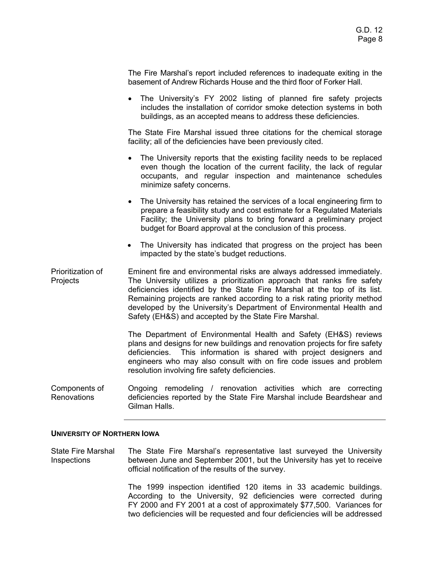The Fire Marshal's report included references to inadequate exiting in the basement of Andrew Richards House and the third floor of Forker Hall.

• The University's FY 2002 listing of planned fire safety projects includes the installation of corridor smoke detection systems in both buildings, as an accepted means to address these deficiencies.

The State Fire Marshal issued three citations for the chemical storage facility; all of the deficiencies have been previously cited.

- The University reports that the existing facility needs to be replaced even though the location of the current facility, the lack of regular occupants, and regular inspection and maintenance schedules minimize safety concerns.
- The University has retained the services of a local engineering firm to prepare a feasibility study and cost estimate for a Regulated Materials Facility; the University plans to bring forward a preliminary project budget for Board approval at the conclusion of this process.
- The University has indicated that progress on the project has been impacted by the state's budget reductions.
- Prioritization of Projects Eminent fire and environmental risks are always addressed immediately. The University utilizes a prioritization approach that ranks fire safety deficiencies identified by the State Fire Marshal at the top of its list. Remaining projects are ranked according to a risk rating priority method developed by the University's Department of Environmental Health and Safety (EH&S) and accepted by the State Fire Marshal.

The Department of Environmental Health and Safety (EH&S) reviews plans and designs for new buildings and renovation projects for fire safety deficiencies. This information is shared with project designers and engineers who may also consult with on fire code issues and problem resolution involving fire safety deficiencies.

Components of Renovations Ongoing remodeling / renovation activities which are correcting deficiencies reported by the State Fire Marshal include Beardshear and Gilman Halls.

#### **UNIVERSITY OF NORTHERN IOWA**

State Fire Marshal Inspections The State Fire Marshal's representative last surveyed the University between June and September 2001, but the University has yet to receive official notification of the results of the survey.

> The 1999 inspection identified 120 items in 33 academic buildings. According to the University, 92 deficiencies were corrected during FY 2000 and FY 2001 at a cost of approximately \$77,500. Variances for two deficiencies will be requested and four deficiencies will be addressed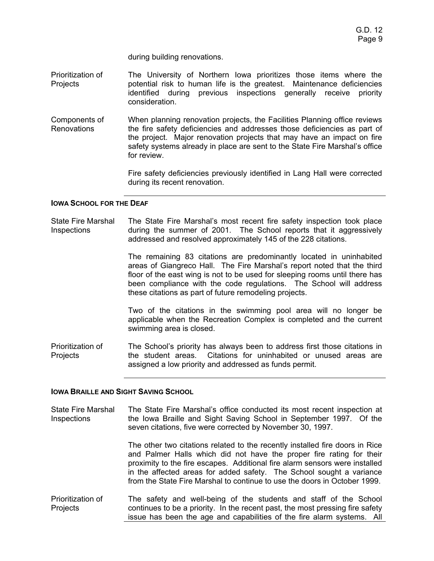during building renovations.

- Prioritization of Projects The University of Northern Iowa prioritizes those items where the potential risk to human life is the greatest. Maintenance deficiencies identified during previous inspections generally receive priority consideration.
- Components of **Renovations** When planning renovation projects, the Facilities Planning office reviews the fire safety deficiencies and addresses those deficiencies as part of the project. Major renovation projects that may have an impact on fire safety systems already in place are sent to the State Fire Marshal's office for review.

Fire safety deficiencies previously identified in Lang Hall were corrected during its recent renovation.

#### **IOWA SCHOOL FOR THE DEAF**

State Fire Marshal Inspections The State Fire Marshal's most recent fire safety inspection took place during the summer of 2001. The School reports that it aggressively addressed and resolved approximately 145 of the 228 citations.

> The remaining 83 citations are predominantly located in uninhabited areas of Giangreco Hall. The Fire Marshal's report noted that the third floor of the east wing is not to be used for sleeping rooms until there has been compliance with the code regulations. The School will address these citations as part of future remodeling projects.

> Two of the citations in the swimming pool area will no longer be applicable when the Recreation Complex is completed and the current swimming area is closed.

Prioritization of Projects The School's priority has always been to address first those citations in the student areas. Citations for uninhabited or unused areas are assigned a low priority and addressed as funds permit.

#### **IOWA BRAILLE AND SIGHT SAVING SCHOOL**

State Fire Marshal Inspections The State Fire Marshal's office conducted its most recent inspection at the Iowa Braille and Sight Saving School in September 1997. Of the seven citations, five were corrected by November 30, 1997.

> The other two citations related to the recently installed fire doors in Rice and Palmer Halls which did not have the proper fire rating for their proximity to the fire escapes. Additional fire alarm sensors were installed in the affected areas for added safety. The School sought a variance from the State Fire Marshal to continue to use the doors in October 1999.

Prioritization of **Projects** The safety and well-being of the students and staff of the School continues to be a priority. In the recent past, the most pressing fire safety issue has been the age and capabilities of the fire alarm systems. All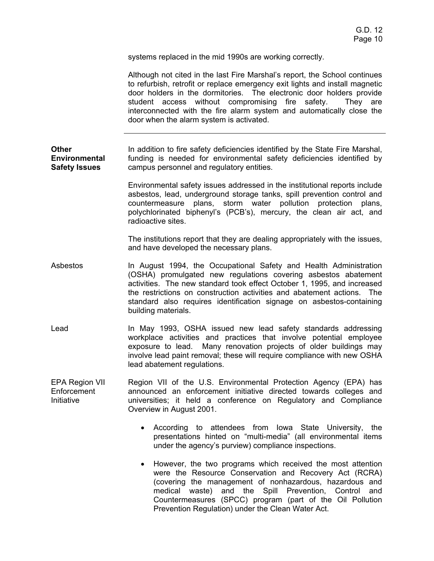systems replaced in the mid 1990s are working correctly.

|                                                              | Although not cited in the last Fire Marshal's report, the School continues<br>to refurbish, retrofit or replace emergency exit lights and install magnetic<br>door holders in the dormitories. The electronic door holders provide<br>student access without compromising fire safety.<br>They are<br>interconnected with the fire alarm system and automatically close the<br>door when the alarm system is activated. |
|--------------------------------------------------------------|-------------------------------------------------------------------------------------------------------------------------------------------------------------------------------------------------------------------------------------------------------------------------------------------------------------------------------------------------------------------------------------------------------------------------|
| <b>Other</b><br><b>Environmental</b><br><b>Safety Issues</b> | In addition to fire safety deficiencies identified by the State Fire Marshal,<br>funding is needed for environmental safety deficiencies identified by<br>campus personnel and regulatory entities.                                                                                                                                                                                                                     |
|                                                              | Environmental safety issues addressed in the institutional reports include<br>asbestos, lead, underground storage tanks, spill prevention control and<br>countermeasure plans, storm water pollution protection plans,<br>polychlorinated biphenyl's (PCB's), mercury, the clean air act, and<br>radioactive sites.                                                                                                     |
|                                                              | The institutions report that they are dealing appropriately with the issues,<br>and have developed the necessary plans.                                                                                                                                                                                                                                                                                                 |
| Asbestos                                                     | In August 1994, the Occupational Safety and Health Administration<br>(OSHA) promulgated new regulations covering asbestos abatement<br>activities. The new standard took effect October 1, 1995, and increased<br>the restrictions on construction activities and abatement actions. The<br>standard also requires identification signage on asbestos-containing<br>building materials.                                 |
| Lead                                                         | In May 1993, OSHA issued new lead safety standards addressing<br>workplace activities and practices that involve potential employee<br>exposure to lead. Many renovation projects of older buildings may<br>involve lead paint removal; these will require compliance with new OSHA<br>lead abatement regulations.                                                                                                      |
| <b>EPA Region VII</b><br>Enforcement<br>Initiative           | Region VII of the U.S. Environmental Protection Agency (EPA) has<br>announced an enforcement initiative directed towards colleges and<br>universities; it held a conference on Regulatory and Compliance<br>Overview in August 2001.                                                                                                                                                                                    |
|                                                              | According to attendees from Iowa State University, the<br>presentations hinted on "multi-media" (all environmental items<br>under the agency's purview) compliance inspections.                                                                                                                                                                                                                                         |
|                                                              | However, the two programs which received the most attention<br>were the Resource Conservation and Recovery Act (RCRA)<br>(covering the management of nonhazardous, hazardous and<br>medical waste) and the Spill Prevention, Control<br>and<br>Countermeasures (SPCC) program (part of the Oil Pollution<br>Prevention Regulation) under the Clean Water Act.                                                           |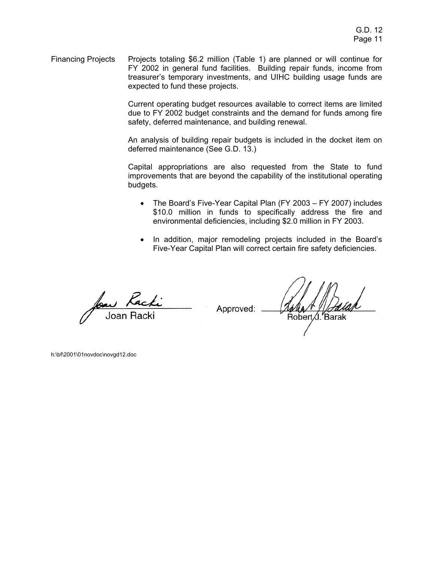Financing Projects Projects totaling \$6.2 million (Table 1) are planned or will continue for FY 2002 in general fund facilities. Building repair funds, income from treasurer's temporary investments, and UIHC building usage funds are expected to fund these projects.

> Current operating budget resources available to correct items are limited due to FY 2002 budget constraints and the demand for funds among fire safety, deferred maintenance, and building renewal.

> An analysis of building repair budgets is included in the docket item on deferred maintenance (See G.D. 13.)

> Capital appropriations are also requested from the State to fund improvements that are beyond the capability of the institutional operating budgets.

- The Board's Five-Year Capital Plan (FY 2003 FY 2007) includes \$10.0 million in funds to specifically address the fire and environmental deficiencies, including \$2.0 million in FY 2003.
- In addition, major remodeling projects included in the Board's Five-Year Capital Plan will correct certain fire safety deficiencies.

Approved:

Robert ∕J. Barak

h:\bf\2001\01novdoc\novgd12.doc